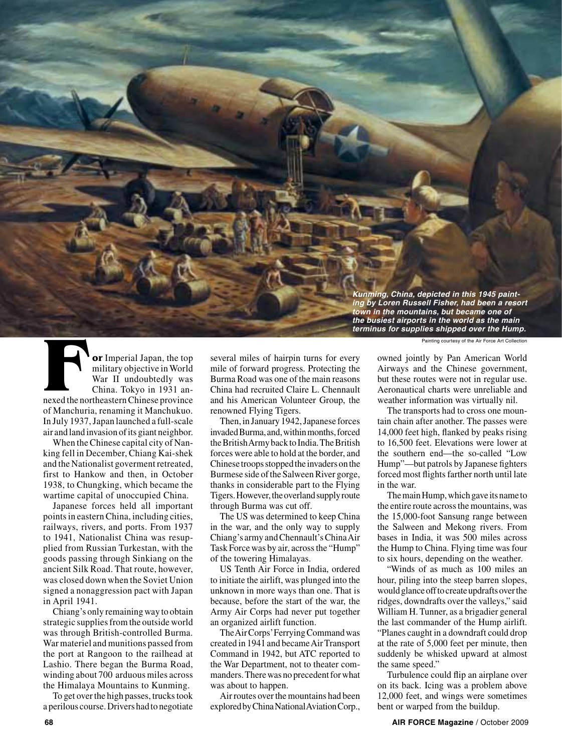*Kunming, China, depicted in this 1945 painting by Loren Russell Fisher, had been a resort town in the mountains, but became one of the busiest airports in the world as the main terminus for supplies shipped over the Hump.*

**or** Imperial Japan, the top military objective in World War II undoubtedly was China. Tokyo in 1931 annexed the northeastern Chinese province of Manchuria, renaming it Manchukuo. In July 1937, Japan launched a full-scale air and land invasion of its giant neighbor. **FEAD OF Imperial Japan, the top**<br> **FRACTION CONFIGURER CONSUMIST** Painting courtesy of the Air Force Art Collection<br>
military objective in World<br>
mile of forward progress. Protecting the<br>
Mar II undoubtedly was<br>
China. To

When the Chinese capital city of Nanking fell in December, Chiang Kai-shek and the Nationalist goverment retreated, first to Hankow and then, in October 1938, to Chungking, which became the wartime capital of unoccupied China.

Japanese forces held all important points in eastern China, including cities, railways, rivers, and ports. From 1937 to 1941, Nationalist China was resupplied from Russian Turkestan, with the goods passing through Sinkiang on the ancient Silk Road. That route, however, was closed down when the Soviet Union signed a nonaggression pact with Japan in April 1941.

Chiang's only remaining way to obtain strategic supplies from the outside world was through British-controlled Burma. War materiel and munitions passed from the port at Rangoon to the railhead at Lashio. There began the Burma Road, winding about 700 arduous miles across the Himalaya Mountains to Kunming.

To get over the high passes, trucks took a perilous course. Drivers had to negotiate several miles of hairpin turns for every mile of forward progress. Protecting the Burma Road was one of the main reasons China had recruited Claire L. Chennault and his American Volunteer Group, the renowned Flying Tigers.

Then, in January 1942, Japanese forces invaded Burma, and, within months, forced the British Army back to India. The British forces were able to hold at the border, and Chinese troops stopped the invaders on the Burmese side of the Salween River gorge, thanks in considerable part to the Flying Tigers. However, the overland supply route through Burma was cut off.

The US was determined to keep China in the war, and the only way to supply Chiang's army and Chennault's China Air Task Force was by air, across the "Hump" of the towering Himalayas.

US Tenth Air Force in India, ordered to initiate the airlift, was plunged into the unknown in more ways than one. That is because, before the start of the war, the Army Air Corps had never put together an organized airlift function.

The Air Corps' Ferrying Command was created in 1941 and became Air Transport Command in 1942, but ATC reported to the War Department, not to theater commanders. There was no precedent for what was about to happen.

Air routes over the mountains had been explored by China National Aviation Corp.,

owned jointly by Pan American World Airways and the Chinese government, but these routes were not in regular use. Aeronautical charts were unreliable and weather information was virtually nil.

The transports had to cross one mountain chain after another. The passes were 14,000 feet high, flanked by peaks rising to 16,500 feet. Elevations were lower at the southern end—the so-called "Low Hump"—but patrols by Japanese fighters forced most flights farther north until late in the war.

The main Hump, which gave its name to the entire route across the mountains, was the 15,000-foot Sansung range between the Salween and Mekong rivers. From bases in India, it was 500 miles across the Hump to China. Flying time was four to six hours, depending on the weather.

"Winds of as much as 100 miles an hour, piling into the steep barren slopes, would glance off to create updrafts over the ridges, downdrafts over the valleys," said William H. Tunner, as a brigadier general the last commander of the Hump airlift. "Planes caught in a downdraft could drop at the rate of 5,000 feet per minute, then suddenly be whisked upward at almost the same speed."

Turbulence could flip an airplane over on its back. Icing was a problem above 12,000 feet, and wings were sometimes bent or warped from the buildup.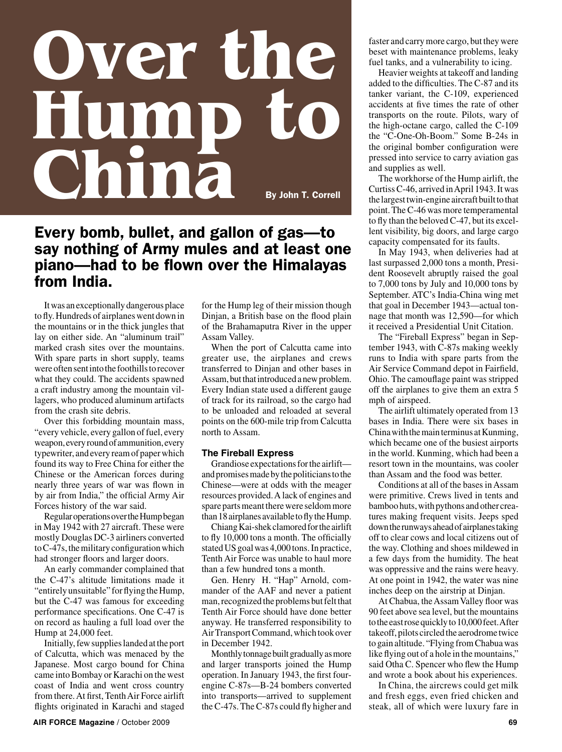# **Over the Hump to China** By John T. Correll

# Every bomb, bullet, and gallon of gas—to say nothing of Army mules and at least one piano—had to be flown over the Himalayas from India.

It was an exceptionally dangerous place to fly. Hundreds of airplanes went down in the mountains or in the thick jungles that lay on either side. An "aluminum trail" marked crash sites over the mountains. With spare parts in short supply, teams were often sent into the foothills to recover what they could. The accidents spawned a craft industry among the mountain villagers, who produced aluminum artifacts from the crash site debris.

Over this forbidding mountain mass, "every vehicle, every gallon of fuel, every weapon, every round of ammunition, every typewriter, and every ream of paper which found its way to Free China for either the Chinese or the American forces during nearly three years of war was flown in by air from India," the official Army Air Forces history of the war said.

Regular operations over the Hump began in May 1942 with 27 aircraft. These were mostly Douglas DC-3 airliners converted to C-47s, the military configuration which had stronger floors and larger doors.

An early commander complained that the C-47's altitude limitations made it "entirely unsuitable" for flying the Hump, but the C-47 was famous for exceeding performance specifications. One C-47 is on record as hauling a full load over the Hump at 24,000 feet.

Initially, few supplies landed at the port of Calcutta, which was menaced by the Japanese. Most cargo bound for China came into Bombay or Karachi on the west coast of India and went cross country from there. At first, Tenth Air Force airlift flights originated in Karachi and staged

for the Hump leg of their mission though Dinjan, a British base on the flood plain of the Brahamaputra River in the upper Assam Valley.

When the port of Calcutta came into greater use, the airplanes and crews transferred to Dinjan and other bases in Assam, but that introduced a new problem. Every Indian state used a different gauge of track for its railroad, so the cargo had to be unloaded and reloaded at several points on the 600-mile trip from Calcutta north to Assam.

## **The Fireball Express**

Grandiose expectations for the airlift and promises made by the politicians to the Chinese—were at odds with the meager resources provided. A lack of engines and spare parts meant there were seldom more than 18 airplanes available to fly the Hump.

Chiang Kai-shek clamored for the airlift to fly 10,000 tons a month. The officially stated US goal was 4,000 tons. In practice, Tenth Air Force was unable to haul more than a few hundred tons a month.

Gen. Henry H. "Hap" Arnold, commander of the AAF and never a patient man, recognized the problems but felt that Tenth Air Force should have done better anyway. He transferred responsibility to Air Transport Command, which took over in December 1942.

Monthly tonnage built gradually as more and larger transports joined the Hump operation. In January 1943, the first fourengine C-87s—B-24 bombers converted into transports—arrived to supplement the C-47s. The C-87s could fly higher and faster and carry more cargo, but they were beset with maintenance problems, leaky fuel tanks, and a vulnerability to icing.

Heavier weights at takeoff and landing added to the difficulties. The C-87 and its tanker variant, the C-109, experienced accidents at five times the rate of other transports on the route. Pilots, wary of the high-octane cargo, called the C-109 the "C-One-Oh-Boom." Some B-24s in the original bomber configuration were pressed into service to carry aviation gas and supplies as well.

The workhorse of the Hump airlift, the Curtiss C-46, arrived in April 1943. It was the largest twin-engine aircraft built to that point. The C-46 was more temperamental to fly than the beloved C-47, but its excellent visibility, big doors, and large cargo capacity compensated for its faults.

In May 1943, when deliveries had at last surpassed 2,000 tons a month, President Roosevelt abruptly raised the goal to 7,000 tons by July and 10,000 tons by September. ATC's India-China wing met that goal in December 1943—actual tonnage that month was 12,590—for which it received a Presidential Unit Citation.

The "Fireball Express" began in September 1943, with C-87s making weekly runs to India with spare parts from the Air Service Command depot in Fairfield, Ohio. The camouflage paint was stripped off the airplanes to give them an extra 5 mph of airspeed.

The airlift ultimately operated from 13 bases in India. There were six bases in China with the main terminus at Kunming, which became one of the busiest airports in the world. Kunming, which had been a resort town in the mountains, was cooler than Assam and the food was better.

Conditions at all of the bases in Assam were primitive. Crews lived in tents and bamboo huts, with pythons and other creatures making frequent visits. Jeeps sped down the runways ahead of airplanes taking off to clear cows and local citizens out of the way. Clothing and shoes mildewed in a few days from the humidity. The heat was oppressive and the rains were heavy. At one point in 1942, the water was nine inches deep on the airstrip at Dinjan.

At Chabua, the Assam Valley floor was 90 feet above sea level, but the mountains to the east rose quickly to 10,000 feet. After takeoff, pilots circled the aerodrome twice to gain altitude. "Flying from Chabua was like flying out of a hole in the mountains," said Otha C. Spencer who flew the Hump and wrote a book about his experiences.

In China, the aircrews could get milk and fresh eggs, even fried chicken and steak, all of which were luxury fare in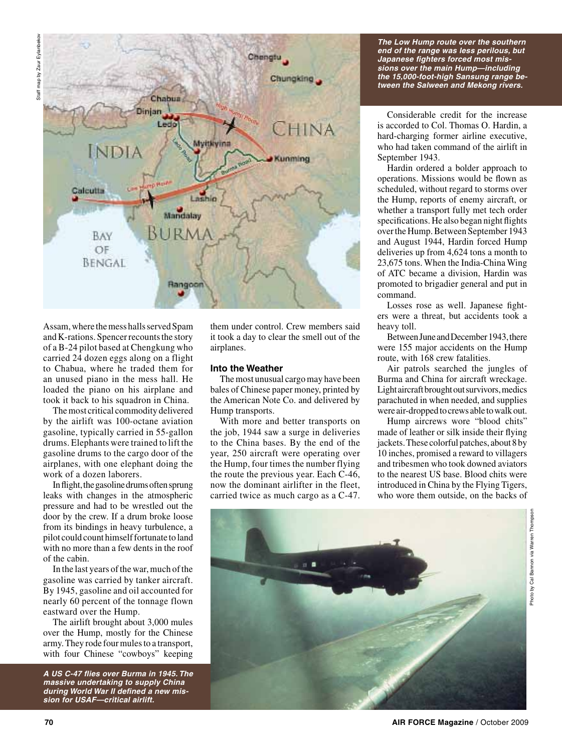

Assam, where the mess halls served Spam and K-rations. Spencer recounts the story of a B-24 pilot based at Chengkung who carried 24 dozen eggs along on a flight to Chabua, where he traded them for an unused piano in the mess hall. He loaded the piano on his airplane and took it back to his squadron in China.

The most critical commodity delivered by the airlift was 100-octane aviation gasoline, typically carried in 55-gallon drums. Elephants were trained to lift the gasoline drums to the cargo door of the airplanes, with one elephant doing the work of a dozen laborers.

In flight, the gasoline drums often sprung leaks with changes in the atmospheric pressure and had to be wrestled out the door by the crew. If a drum broke loose from its bindings in heavy turbulence, a pilot could count himself fortunate to land with no more than a few dents in the roof of the cabin.

In the last years of the war, much of the gasoline was carried by tanker aircraft. By 1945, gasoline and oil accounted for nearly 60 percent of the tonnage flown eastward over the Hump.

The airlift brought about 3,000 mules over the Hump, mostly for the Chinese army. They rode four mules to a transport, with four Chinese "cowboys" keeping

*A US C-47 flies over Burma in 1945. The massive undertaking to supply China during World War II defined a new mission for USAF—critical airlift.*

them under control. Crew members said it took a day to clear the smell out of the airplanes.

#### **Into the Weather**

The most unusual cargo may have been bales of Chinese paper money, printed by the American Note Co. and delivered by Hump transports.

With more and better transports on the job, 1944 saw a surge in deliveries to the China bases. By the end of the year, 250 aircraft were operating over the Hump, four times the number flying the route the previous year. Each C-46, now the dominant airlifter in the fleet, carried twice as much cargo as a C-47.

*The Low Hump route over the southern end of the range was less perilous, but Japanese fighters forced most missions over the main Hump—including the 15,000-foot-high Sansung range between the Salween and Mekong rivers.*

Considerable credit for the increase is accorded to Col. Thomas O. Hardin, a hard-charging former airline executive, who had taken command of the airlift in September 1943.

Hardin ordered a bolder approach to operations. Missions would be flown as scheduled, without regard to storms over the Hump, reports of enemy aircraft, or whether a transport fully met tech order specifications. He also began night flights over the Hump. Between September 1943 and August 1944, Hardin forced Hump deliveries up from 4,624 tons a month to 23,675 tons. When the India-China Wing of ATC became a division, Hardin was promoted to brigadier general and put in command.

Losses rose as well. Japanese fighters were a threat, but accidents took a heavy toll.

Between June and December 1943, there were 155 major accidents on the Hump route, with 168 crew fatalities.

Air patrols searched the jungles of Burma and China for aircraft wreckage. Light aircraft brought out survivors, medics parachuted in when needed, and supplies were air-dropped to crews able to walk out.

Hump aircrews wore "blood chits" made of leather or silk inside their flying jackets. These colorful patches, about 8 by 10 inches, promised a reward to villagers and tribesmen who took downed aviators to the nearest US base. Blood chits were introduced in China by the Flying Tigers, who wore them outside, on the backs of



Photo by Cal Bannon via Warren Thompson

Photo by Cal Bannon via Warren Thomps



**70 AIR FORCE Magazine** / October 2009